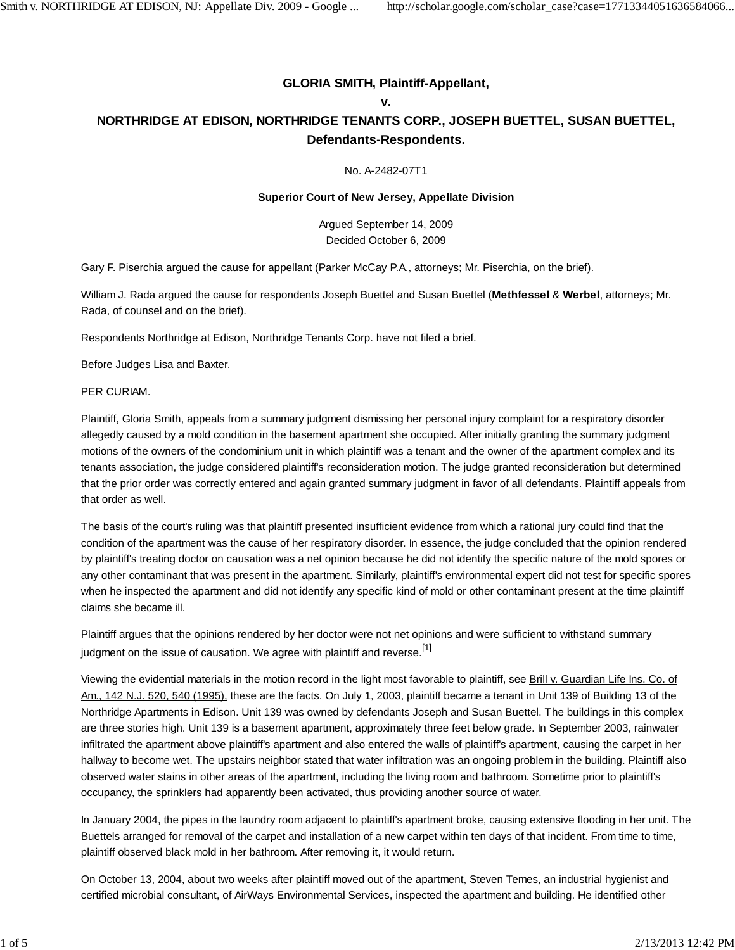## **GLORIA SMITH, Plaintiff-Appellant,**

### **v.**

# **NORTHRIDGE AT EDISON, NORTHRIDGE TENANTS CORP., JOSEPH BUETTEL, SUSAN BUETTEL, Defendants-Respondents.**

### No. A-2482-07T1

### **Superior Court of New Jersey, Appellate Division**

Argued September 14, 2009 Decided October 6, 2009

Gary F. Piserchia argued the cause for appellant (Parker McCay P.A., attorneys; Mr. Piserchia, on the brief).

William J. Rada argued the cause for respondents Joseph Buettel and Susan Buettel (**Methfessel** & **Werbel**, attorneys; Mr. Rada, of counsel and on the brief).

Respondents Northridge at Edison, Northridge Tenants Corp. have not filed a brief.

Before Judges Lisa and Baxter.

PER CURIAM.

Plaintiff, Gloria Smith, appeals from a summary judgment dismissing her personal injury complaint for a respiratory disorder allegedly caused by a mold condition in the basement apartment she occupied. After initially granting the summary judgment motions of the owners of the condominium unit in which plaintiff was a tenant and the owner of the apartment complex and its tenants association, the judge considered plaintiff's reconsideration motion. The judge granted reconsideration but determined that the prior order was correctly entered and again granted summary judgment in favor of all defendants. Plaintiff appeals from that order as well.

The basis of the court's ruling was that plaintiff presented insufficient evidence from which a rational jury could find that the condition of the apartment was the cause of her respiratory disorder. In essence, the judge concluded that the opinion rendered by plaintiff's treating doctor on causation was a net opinion because he did not identify the specific nature of the mold spores or any other contaminant that was present in the apartment. Similarly, plaintiff's environmental expert did not test for specific spores when he inspected the apartment and did not identify any specific kind of mold or other contaminant present at the time plaintiff claims she became ill.

Plaintiff argues that the opinions rendered by her doctor were not net opinions and were sufficient to withstand summary judgment on the issue of causation. We agree with plaintiff and reverse.<sup>[1]</sup>

Viewing the evidential materials in the motion record in the light most favorable to plaintiff, see Brill v. Guardian Life Ins. Co. of Am., 142 N.J. 520, 540 (1995), these are the facts. On July 1, 2003, plaintiff became a tenant in Unit 139 of Building 13 of the Northridge Apartments in Edison. Unit 139 was owned by defendants Joseph and Susan Buettel. The buildings in this complex are three stories high. Unit 139 is a basement apartment, approximately three feet below grade. In September 2003, rainwater infiltrated the apartment above plaintiff's apartment and also entered the walls of plaintiff's apartment, causing the carpet in her hallway to become wet. The upstairs neighbor stated that water infiltration was an ongoing problem in the building. Plaintiff also observed water stains in other areas of the apartment, including the living room and bathroom. Sometime prior to plaintiff's occupancy, the sprinklers had apparently been activated, thus providing another source of water.

In January 2004, the pipes in the laundry room adjacent to plaintiff's apartment broke, causing extensive flooding in her unit. The Buettels arranged for removal of the carpet and installation of a new carpet within ten days of that incident. From time to time, plaintiff observed black mold in her bathroom. After removing it, it would return.

On October 13, 2004, about two weeks after plaintiff moved out of the apartment, Steven Temes, an industrial hygienist and certified microbial consultant, of AirWays Environmental Services, inspected the apartment and building. He identified other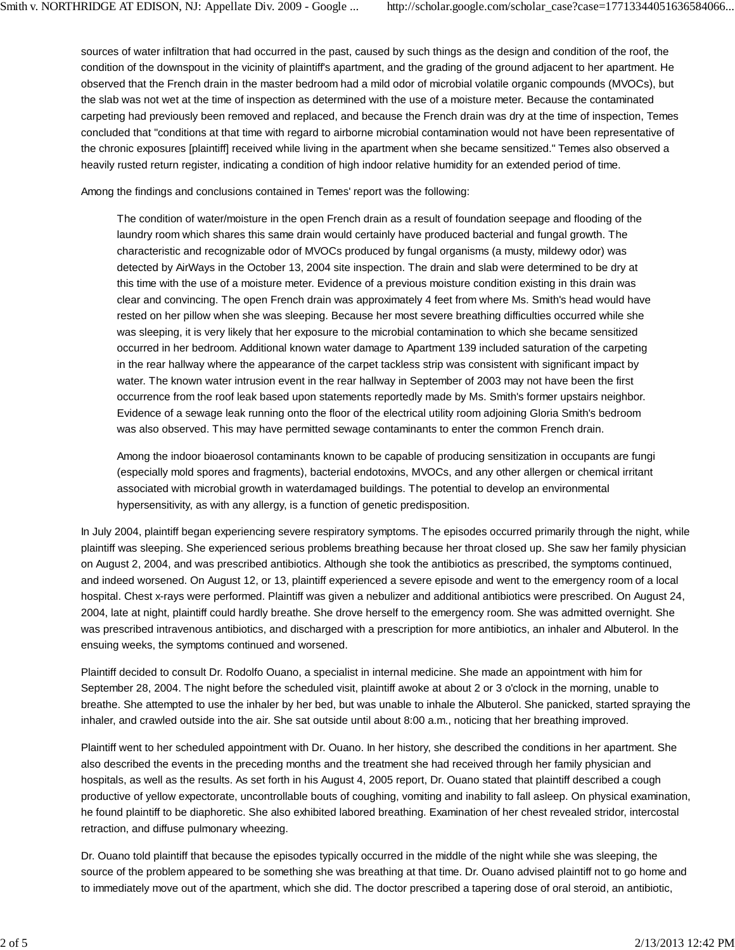sources of water infiltration that had occurred in the past, caused by such things as the design and condition of the roof, the condition of the downspout in the vicinity of plaintiff's apartment, and the grading of the ground adjacent to her apartment. He observed that the French drain in the master bedroom had a mild odor of microbial volatile organic compounds (MVOCs), but the slab was not wet at the time of inspection as determined with the use of a moisture meter. Because the contaminated carpeting had previously been removed and replaced, and because the French drain was dry at the time of inspection, Temes concluded that "conditions at that time with regard to airborne microbial contamination would not have been representative of the chronic exposures [plaintiff] received while living in the apartment when she became sensitized." Temes also observed a heavily rusted return register, indicating a condition of high indoor relative humidity for an extended period of time.

Among the findings and conclusions contained in Temes' report was the following:

The condition of water/moisture in the open French drain as a result of foundation seepage and flooding of the laundry room which shares this same drain would certainly have produced bacterial and fungal growth. The characteristic and recognizable odor of MVOCs produced by fungal organisms (a musty, mildewy odor) was detected by AirWays in the October 13, 2004 site inspection. The drain and slab were determined to be dry at this time with the use of a moisture meter. Evidence of a previous moisture condition existing in this drain was clear and convincing. The open French drain was approximately 4 feet from where Ms. Smith's head would have rested on her pillow when she was sleeping. Because her most severe breathing difficulties occurred while she was sleeping, it is very likely that her exposure to the microbial contamination to which she became sensitized occurred in her bedroom. Additional known water damage to Apartment 139 included saturation of the carpeting in the rear hallway where the appearance of the carpet tackless strip was consistent with significant impact by water. The known water intrusion event in the rear hallway in September of 2003 may not have been the first occurrence from the roof leak based upon statements reportedly made by Ms. Smith's former upstairs neighbor. Evidence of a sewage leak running onto the floor of the electrical utility room adjoining Gloria Smith's bedroom was also observed. This may have permitted sewage contaminants to enter the common French drain.

Among the indoor bioaerosol contaminants known to be capable of producing sensitization in occupants are fungi (especially mold spores and fragments), bacterial endotoxins, MVOCs, and any other allergen or chemical irritant associated with microbial growth in waterdamaged buildings. The potential to develop an environmental hypersensitivity, as with any allergy, is a function of genetic predisposition.

In July 2004, plaintiff began experiencing severe respiratory symptoms. The episodes occurred primarily through the night, while plaintiff was sleeping. She experienced serious problems breathing because her throat closed up. She saw her family physician on August 2, 2004, and was prescribed antibiotics. Although she took the antibiotics as prescribed, the symptoms continued, and indeed worsened. On August 12, or 13, plaintiff experienced a severe episode and went to the emergency room of a local hospital. Chest x-rays were performed. Plaintiff was given a nebulizer and additional antibiotics were prescribed. On August 24, 2004, late at night, plaintiff could hardly breathe. She drove herself to the emergency room. She was admitted overnight. She was prescribed intravenous antibiotics, and discharged with a prescription for more antibiotics, an inhaler and Albuterol. In the ensuing weeks, the symptoms continued and worsened.

Plaintiff decided to consult Dr. Rodolfo Ouano, a specialist in internal medicine. She made an appointment with him for September 28, 2004. The night before the scheduled visit, plaintiff awoke at about 2 or 3 o'clock in the morning, unable to breathe. She attempted to use the inhaler by her bed, but was unable to inhale the Albuterol. She panicked, started spraying the inhaler, and crawled outside into the air. She sat outside until about 8:00 a.m., noticing that her breathing improved.

Plaintiff went to her scheduled appointment with Dr. Ouano. In her history, she described the conditions in her apartment. She also described the events in the preceding months and the treatment she had received through her family physician and hospitals, as well as the results. As set forth in his August 4, 2005 report, Dr. Ouano stated that plaintiff described a cough productive of yellow expectorate, uncontrollable bouts of coughing, vomiting and inability to fall asleep. On physical examination, he found plaintiff to be diaphoretic. She also exhibited labored breathing. Examination of her chest revealed stridor, intercostal retraction, and diffuse pulmonary wheezing.

Dr. Ouano told plaintiff that because the episodes typically occurred in the middle of the night while she was sleeping, the source of the problem appeared to be something she was breathing at that time. Dr. Ouano advised plaintiff not to go home and to immediately move out of the apartment, which she did. The doctor prescribed a tapering dose of oral steroid, an antibiotic,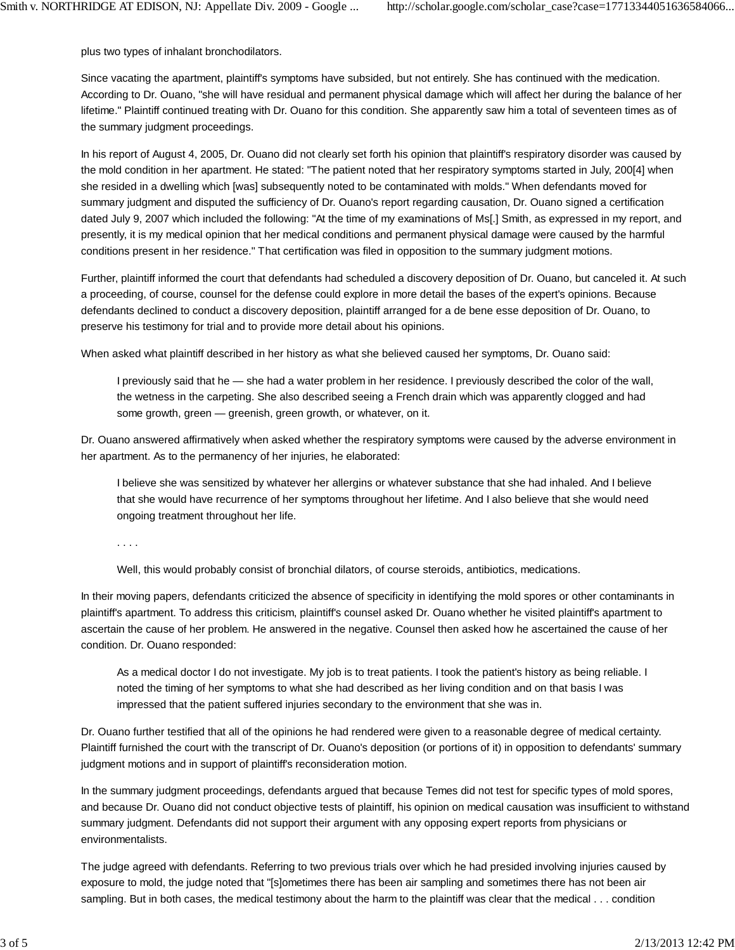plus two types of inhalant bronchodilators.

Since vacating the apartment, plaintiff's symptoms have subsided, but not entirely. She has continued with the medication. According to Dr. Ouano, "she will have residual and permanent physical damage which will affect her during the balance of her lifetime." Plaintiff continued treating with Dr. Ouano for this condition. She apparently saw him a total of seventeen times as of the summary judgment proceedings.

In his report of August 4, 2005, Dr. Ouano did not clearly set forth his opinion that plaintiff's respiratory disorder was caused by the mold condition in her apartment. He stated: "The patient noted that her respiratory symptoms started in July, 200[4] when she resided in a dwelling which [was] subsequently noted to be contaminated with molds." When defendants moved for summary judgment and disputed the sufficiency of Dr. Ouano's report regarding causation, Dr. Ouano signed a certification dated July 9, 2007 which included the following: "At the time of my examinations of Ms[.] Smith, as expressed in my report, and presently, it is my medical opinion that her medical conditions and permanent physical damage were caused by the harmful conditions present in her residence." That certification was filed in opposition to the summary judgment motions.

Further, plaintiff informed the court that defendants had scheduled a discovery deposition of Dr. Ouano, but canceled it. At such a proceeding, of course, counsel for the defense could explore in more detail the bases of the expert's opinions. Because defendants declined to conduct a discovery deposition, plaintiff arranged for a de bene esse deposition of Dr. Ouano, to preserve his testimony for trial and to provide more detail about his opinions.

When asked what plaintiff described in her history as what she believed caused her symptoms, Dr. Ouano said:

I previously said that he — she had a water problem in her residence. I previously described the color of the wall, the wetness in the carpeting. She also described seeing a French drain which was apparently clogged and had some growth, green — greenish, green growth, or whatever, on it.

Dr. Ouano answered affirmatively when asked whether the respiratory symptoms were caused by the adverse environment in her apartment. As to the permanency of her injuries, he elaborated:

I believe she was sensitized by whatever her allergins or whatever substance that she had inhaled. And I believe that she would have recurrence of her symptoms throughout her lifetime. And I also believe that she would need ongoing treatment throughout her life.

. . . .

Well, this would probably consist of bronchial dilators, of course steroids, antibiotics, medications.

In their moving papers, defendants criticized the absence of specificity in identifying the mold spores or other contaminants in plaintiff's apartment. To address this criticism, plaintiff's counsel asked Dr. Ouano whether he visited plaintiff's apartment to ascertain the cause of her problem. He answered in the negative. Counsel then asked how he ascertained the cause of her condition. Dr. Ouano responded:

As a medical doctor I do not investigate. My job is to treat patients. I took the patient's history as being reliable. I noted the timing of her symptoms to what she had described as her living condition and on that basis I was impressed that the patient suffered injuries secondary to the environment that she was in.

Dr. Ouano further testified that all of the opinions he had rendered were given to a reasonable degree of medical certainty. Plaintiff furnished the court with the transcript of Dr. Ouano's deposition (or portions of it) in opposition to defendants' summary judgment motions and in support of plaintiff's reconsideration motion.

In the summary judgment proceedings, defendants argued that because Temes did not test for specific types of mold spores, and because Dr. Ouano did not conduct objective tests of plaintiff, his opinion on medical causation was insufficient to withstand summary judgment. Defendants did not support their argument with any opposing expert reports from physicians or environmentalists.

The judge agreed with defendants. Referring to two previous trials over which he had presided involving injuries caused by exposure to mold, the judge noted that "[s]ometimes there has been air sampling and sometimes there has not been air sampling. But in both cases, the medical testimony about the harm to the plaintiff was clear that the medical . . . condition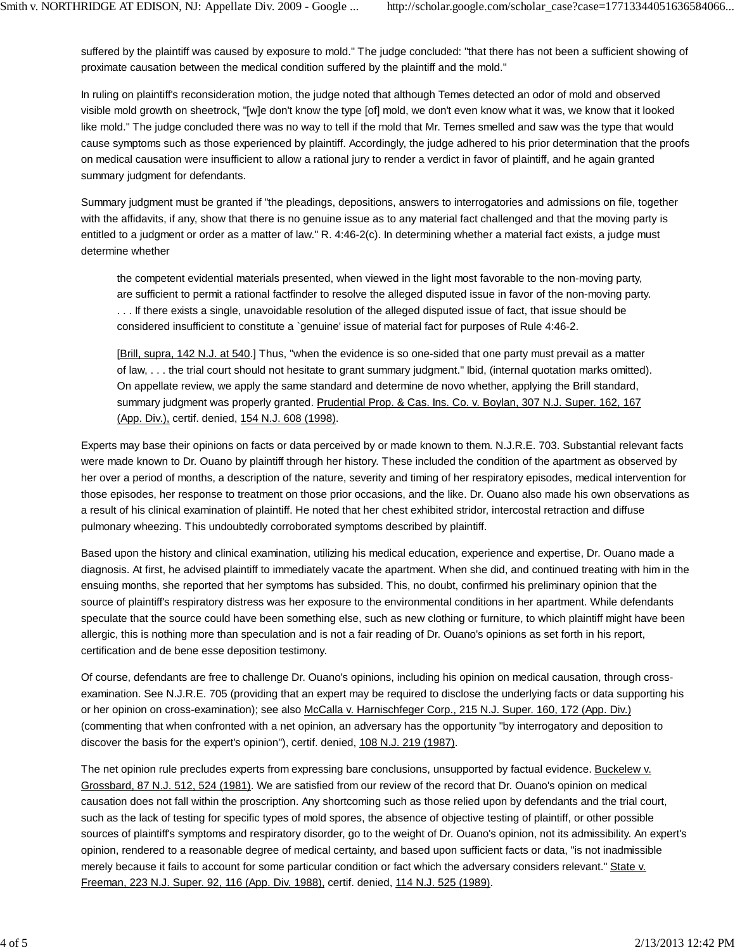suffered by the plaintiff was caused by exposure to mold." The judge concluded: "that there has not been a sufficient showing of proximate causation between the medical condition suffered by the plaintiff and the mold."

In ruling on plaintiff's reconsideration motion, the judge noted that although Temes detected an odor of mold and observed visible mold growth on sheetrock, "[w]e don't know the type [of] mold, we don't even know what it was, we know that it looked like mold." The judge concluded there was no way to tell if the mold that Mr. Temes smelled and saw was the type that would cause symptoms such as those experienced by plaintiff. Accordingly, the judge adhered to his prior determination that the proofs on medical causation were insufficient to allow a rational jury to render a verdict in favor of plaintiff, and he again granted summary judgment for defendants.

Summary judgment must be granted if "the pleadings, depositions, answers to interrogatories and admissions on file, together with the affidavits, if any, show that there is no genuine issue as to any material fact challenged and that the moving party is entitled to a judgment or order as a matter of law." R. 4:46-2(c). In determining whether a material fact exists, a judge must determine whether

the competent evidential materials presented, when viewed in the light most favorable to the non-moving party, are sufficient to permit a rational factfinder to resolve the alleged disputed issue in favor of the non-moving party. . . . If there exists a single, unavoidable resolution of the alleged disputed issue of fact, that issue should be considered insufficient to constitute a `genuine' issue of material fact for purposes of Rule 4:46-2.

[Brill, supra, 142 N.J. at 540.] Thus, "when the evidence is so one-sided that one party must prevail as a matter of law, . . . the trial court should not hesitate to grant summary judgment." Ibid, (internal quotation marks omitted). On appellate review, we apply the same standard and determine de novo whether, applying the Brill standard, summary judgment was properly granted. Prudential Prop. & Cas. Ins. Co. v. Boylan, 307 N.J. Super. 162, 167 (App. Div.), certif. denied, 154 N.J. 608 (1998).

Experts may base their opinions on facts or data perceived by or made known to them. N.J.R.E. 703. Substantial relevant facts were made known to Dr. Ouano by plaintiff through her history. These included the condition of the apartment as observed by her over a period of months, a description of the nature, severity and timing of her respiratory episodes, medical intervention for those episodes, her response to treatment on those prior occasions, and the like. Dr. Ouano also made his own observations as a result of his clinical examination of plaintiff. He noted that her chest exhibited stridor, intercostal retraction and diffuse pulmonary wheezing. This undoubtedly corroborated symptoms described by plaintiff.

Based upon the history and clinical examination, utilizing his medical education, experience and expertise, Dr. Ouano made a diagnosis. At first, he advised plaintiff to immediately vacate the apartment. When she did, and continued treating with him in the ensuing months, she reported that her symptoms has subsided. This, no doubt, confirmed his preliminary opinion that the source of plaintiff's respiratory distress was her exposure to the environmental conditions in her apartment. While defendants speculate that the source could have been something else, such as new clothing or furniture, to which plaintiff might have been allergic, this is nothing more than speculation and is not a fair reading of Dr. Ouano's opinions as set forth in his report, certification and de bene esse deposition testimony.

Of course, defendants are free to challenge Dr. Ouano's opinions, including his opinion on medical causation, through crossexamination. See N.J.R.E. 705 (providing that an expert may be required to disclose the underlying facts or data supporting his or her opinion on cross-examination); see also McCalla v. Harnischfeger Corp., 215 N.J. Super. 160, 172 (App. Div.) (commenting that when confronted with a net opinion, an adversary has the opportunity "by interrogatory and deposition to discover the basis for the expert's opinion"), certif. denied, 108 N.J. 219 (1987).

The net opinion rule precludes experts from expressing bare conclusions, unsupported by factual evidence. Buckelew v. Grossbard, 87 N.J. 512, 524 (1981). We are satisfied from our review of the record that Dr. Ouano's opinion on medical causation does not fall within the proscription. Any shortcoming such as those relied upon by defendants and the trial court, such as the lack of testing for specific types of mold spores, the absence of objective testing of plaintiff, or other possible sources of plaintiff's symptoms and respiratory disorder, go to the weight of Dr. Ouano's opinion, not its admissibility. An expert's opinion, rendered to a reasonable degree of medical certainty, and based upon sufficient facts or data, "is not inadmissible merely because it fails to account for some particular condition or fact which the adversary considers relevant." State v. Freeman, 223 N.J. Super. 92, 116 (App. Div. 1988), certif. denied, 114 N.J. 525 (1989).